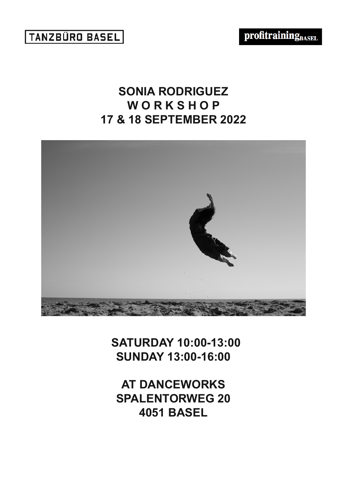## **SONIA RODRIGUEZ W O R K S H O P 17 & 18 SEPTEMBER 2022**



 **SATURDAY 10:00-13:00 SUNDAY 13:00-16:00**

**AT DANCEWORKS SPALENTORWEG 20 4051 BASEL**